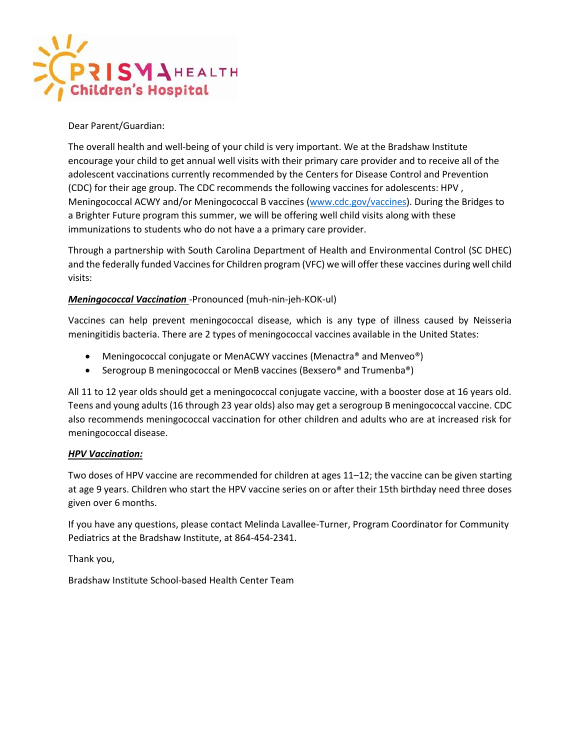

#### Dear Parent/Guardian:

The overall health and well-being of your child is very important. We at the Bradshaw Institute encourage your child to get annual well visits with their primary care provider and to receive all of the adolescent vaccinations currently recommended by the Centers for Disease Control and Prevention (CDC) for their age group. The CDC recommends the following vaccines for adolescents: HPV , Meningococcal ACWY and/or Meningococcal B vaccines [\(www.cdc.gov/vaccines\)](http://www.cdc.gov/vaccines). During the Bridges to a Brighter Future program this summer, we will be offering well child visits along with these immunizations to students who do not have a a primary care provider.

Through a partnership with South Carolina Department of Health and Environmental Control (SC DHEC) and the federally funded Vaccines for Children program (VFC) we will offer these vaccines during well child visits:

#### *Meningococcal Vaccination* -Pronounced (muh-nin-jeh-KOK-ul)

Vaccines can help prevent meningococcal disease, which is any type of illness caused by Neisseria meningitidis bacteria. There are 2 types of meningococcal vaccines available in the United States:

- Meningococcal conjugate or MenACWY vaccines (Menactra® and Menveo®)
- Serogroup B meningococcal or MenB vaccines (Bexsero® and Trumenba®)

All 11 to 12 year olds should get a meningococcal conjugate vaccine, with a booster dose at 16 years old. Teens and young adults (16 through 23 year olds) also may get a serogroup B meningococcal vaccine. CDC also recommends meningococcal vaccination for other children and adults who are at increased risk for meningococcal disease.

#### *HPV Vaccination:*

Two doses of HPV vaccine are recommended for children at ages 11–12; the vaccine can be given starting at age 9 years. Children who start the HPV vaccine series on or after their 15th birthday need three doses given over 6 months.

If you have any questions, please contact Melinda Lavallee-Turner, Program Coordinator for Community Pediatrics at the Bradshaw Institute, at 864-454-2341.

Thank you,

Bradshaw Institute School-based Health Center Team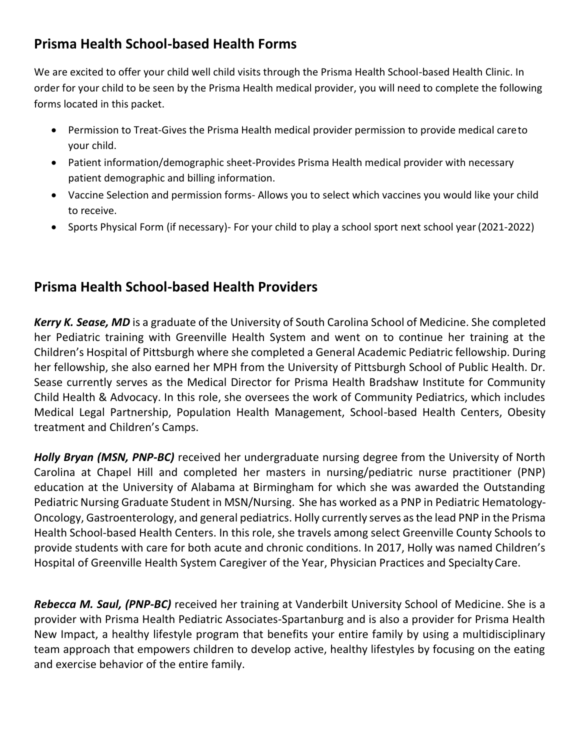### **Prisma Health School-based Health Forms**

We are excited to offer your child well child visits through the Prisma Health School-based Health Clinic. In order for your child to be seen by the Prisma Health medical provider, you will need to complete the following forms located in this packet.

- Permission to Treat-Gives the Prisma Health medical provider permission to provide medical careto your child.
- Patient information/demographic sheet-Provides Prisma Health medical provider with necessary patient demographic and billing information.
- Vaccine Selection and permission forms- Allows you to select which vaccines you would like your child to receive.
- Sports Physical Form (if necessary)- For your child to play a school sport next school year (2021-2022)

#### **Prisma Health School-based Health Providers**

*Kerry K. Sease, MD* is a graduate of the University of South Carolina School of Medicine. She completed her Pediatric training with Greenville Health System and went on to continue her training at the Children's Hospital of Pittsburgh where she completed a General Academic Pediatric fellowship. During her fellowship, she also earned her MPH from the University of Pittsburgh School of Public Health. Dr. Sease currently serves as the Medical Director for Prisma Health Bradshaw Institute for Community Child Health & Advocacy. In this role, she oversees the work of Community Pediatrics, which includes Medical Legal Partnership, Population Health Management, School-based Health Centers, Obesity treatment and Children's Camps.

*Holly Bryan (MSN, PNP-BC)* received her undergraduate nursing degree from the University of North Carolina at Chapel Hill and completed her masters in nursing/pediatric nurse practitioner (PNP) education at the University of Alabama at Birmingham for which she was awarded the Outstanding Pediatric Nursing Graduate Student in MSN/Nursing. She has worked as a PNP in Pediatric Hematology-Oncology, Gastroenterology, and general pediatrics. Holly currently serves asthe lead PNP in the Prisma Health School-based Health Centers. In this role, she travels among select Greenville County Schools to provide students with care for both acute and chronic conditions. In 2017, Holly was named Children's Hospital of Greenville Health System Caregiver of the Year, Physician Practices and SpecialtyCare.

*Rebecca M. Saul, (PNP-BC)* received her training at Vanderbilt University School of Medicine. She is a provider with Prisma Health Pediatric Associates-Spartanburg and is also a provider for Prisma Health New Impact, a healthy lifestyle program that benefits your entire family by using a multidisciplinary team approach that empowers children to develop active, healthy lifestyles by focusing on the eating and exercise behavior of the entire family.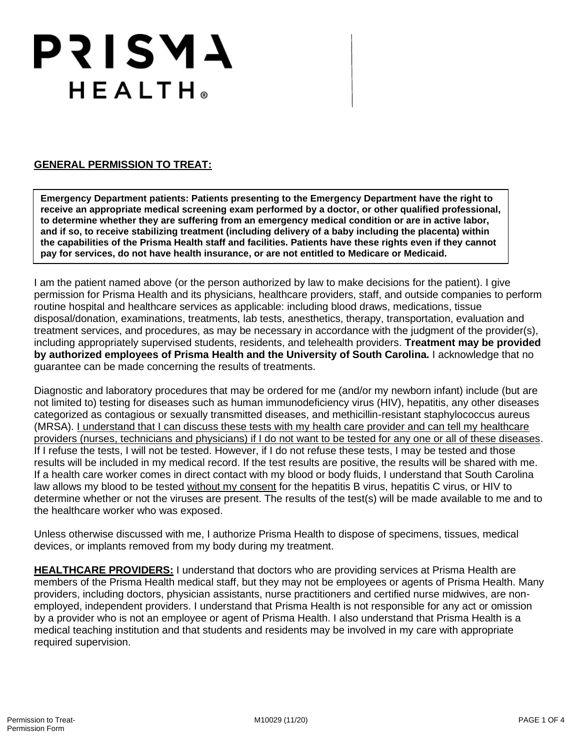# **PRISMA** HEALTH®

#### **GENERAL PERMISSION TO TREAT:**

**Emergency Department patients: Patients presenting to the Emergency Department have the right to receive an appropriate medical screening exam performed by a doctor, or other qualified professional, to determine whether they are suffering from an emergency medical condition or are in active labor, and if so, to receive stabilizing treatment (including delivery of a baby including the placenta) within the capabilities of the Prisma Health staff and facilities. Patients have these rights even if they cannot pay for services, do not have health insurance, or are not entitled to Medicare or Medicaid.**

I am the patient named above (or the person authorized by law to make decisions for the patient). I give permission for Prisma Health and its physicians, healthcare providers, staff, and outside companies to perform routine hospital and healthcare services as applicable: including blood draws, medications, tissue disposal/donation, examinations, treatments, lab tests, anesthetics, therapy, transportation, evaluation and treatment services, and procedures, as may be necessary in accordance with the judgment of the provider(s), including appropriately supervised students, residents, and telehealth providers. **Treatment may be provided by authorized employees of Prisma Health and the University of South Carolina.** I acknowledge that no guarantee can be made concerning the results of treatments.

Diagnostic and laboratory procedures that may be ordered for me (and/or my newborn infant) include (but are not limited to) testing for diseases such as human immunodeficiency virus (HIV), hepatitis, any other diseases categorized as contagious or sexually transmitted diseases, and methicillin-resistant staphylococcus aureus (MRSA). I understand that I can discuss these tests with my health care provider and can tell my healthcare providers (nurses, technicians and physicians) if I do not want to be tested for any one or all of these diseases. If I refuse the tests, I will not be tested. However, if I do not refuse these tests, I may be tested and those results will be included in my medical record. If the test results are positive, the results will be shared with me. If a health care worker comes in direct contact with my blood or body fluids, I understand that South Carolina law allows my blood to be tested without my consent for the hepatitis B virus, hepatitis C virus, or HIV to determine whether or not the viruses are present. The results of the test(s) will be made available to me and to the healthcare worker who was exposed.

Unless otherwise discussed with me, I authorize Prisma Health to dispose of specimens, tissues, medical devices, or implants removed from my body during my treatment.

**HEALTHCARE PROVIDERS:** I understand that doctors who are providing services at Prisma Health are members of the Prisma Health medical staff, but they may not be employees or agents of Prisma Health. Many providers, including doctors, physician assistants, nurse practitioners and certified nurse midwives, are nonemployed, independent providers. I understand that Prisma Health is not responsible for any act or omission by a provider who is not an employee or agent of Prisma Health. I also understand that Prisma Health is a medical teaching institution and that students and residents may be involved in my care with appropriate required supervision.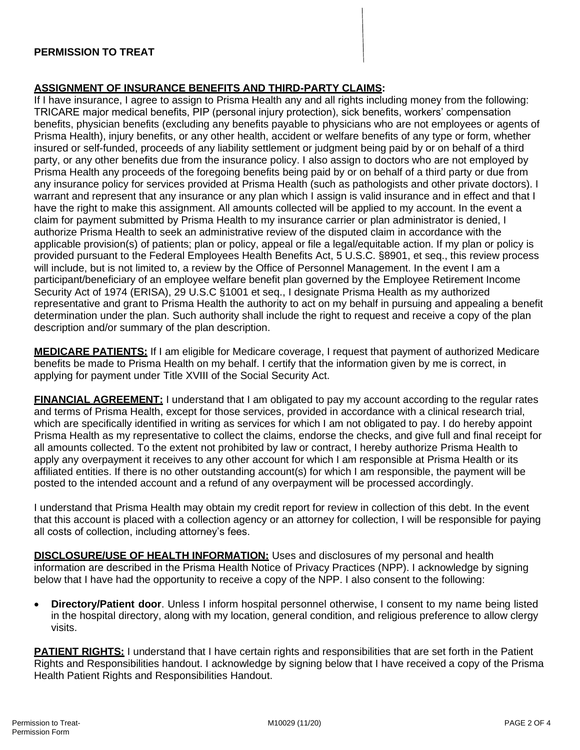#### **PERMISSION TO TREAT**

#### **ASSIGNMENT OF INSURANCE BENEFITS AND THIRD-PARTY CLAIMS:**

If I have insurance, I agree to assign to Prisma Health any and all rights including money from the following: TRICARE major medical benefits, PIP (personal injury protection), sick benefits, workers' compensation benefits, physician benefits (excluding any benefits payable to physicians who are not employees or agents of Prisma Health), injury benefits, or any other health, accident or welfare benefits of any type or form, whether insured or self-funded, proceeds of any liability settlement or judgment being paid by or on behalf of a third party, or any other benefits due from the insurance policy. I also assign to doctors who are not employed by Prisma Health any proceeds of the foregoing benefits being paid by or on behalf of a third party or due from any insurance policy for services provided at Prisma Health (such as pathologists and other private doctors). I warrant and represent that any insurance or any plan which I assign is valid insurance and in effect and that I have the right to make this assignment. All amounts collected will be applied to my account. In the event a claim for payment submitted by Prisma Health to my insurance carrier or plan administrator is denied, I authorize Prisma Health to seek an administrative review of the disputed claim in accordance with the applicable provision(s) of patients; plan or policy, appeal or file a legal/equitable action. If my plan or policy is provided pursuant to the Federal Employees Health Benefits Act, 5 U.S.C. §8901, et seq., this review process will include, but is not limited to, a review by the Office of Personnel Management. In the event I am a participant/beneficiary of an employee welfare benefit plan governed by the Employee Retirement Income Security Act of 1974 (ERISA), 29 U.S.C §1001 et seq., I designate Prisma Health as my authorized representative and grant to Prisma Health the authority to act on my behalf in pursuing and appealing a benefit determination under the plan. Such authority shall include the right to request and receive a copy of the plan description and/or summary of the plan description.

**MEDICARE PATIENTS:** If I am eligible for Medicare coverage, I request that payment of authorized Medicare benefits be made to Prisma Health on my behalf. I certify that the information given by me is correct, in applying for payment under Title XVIII of the Social Security Act.

**FINANCIAL AGREEMENT:** I understand that I am obligated to pay my account according to the regular rates and terms of Prisma Health, except for those services, provided in accordance with a clinical research trial, which are specifically identified in writing as services for which I am not obligated to pay. I do hereby appoint Prisma Health as my representative to collect the claims, endorse the checks, and give full and final receipt for all amounts collected. To the extent not prohibited by law or contract, I hereby authorize Prisma Health to apply any overpayment it receives to any other account for which I am responsible at Prisma Health or its affiliated entities. If there is no other outstanding account(s) for which I am responsible, the payment will be posted to the intended account and a refund of any overpayment will be processed accordingly.

I understand that Prisma Health may obtain my credit report for review in collection of this debt. In the event that this account is placed with a collection agency or an attorney for collection, I will be responsible for paying all costs of collection, including attorney's fees.

**DISCLOSURE/USE OF HEALTH INFORMATION:** Uses and disclosures of my personal and health information are described in the Prisma Health Notice of Privacy Practices (NPP). I acknowledge by signing below that I have had the opportunity to receive a copy of the NPP. I also consent to the following:

• **Directory/Patient door**. Unless I inform hospital personnel otherwise, I consent to my name being listed in the hospital directory, along with my location, general condition, and religious preference to allow clergy visits.

**PATIENT RIGHTS:** I understand that I have certain rights and responsibilities that are set forth in the Patient Rights and Responsibilities handout. I acknowledge by signing below that I have received a copy of the Prisma Health Patient Rights and Responsibilities Handout.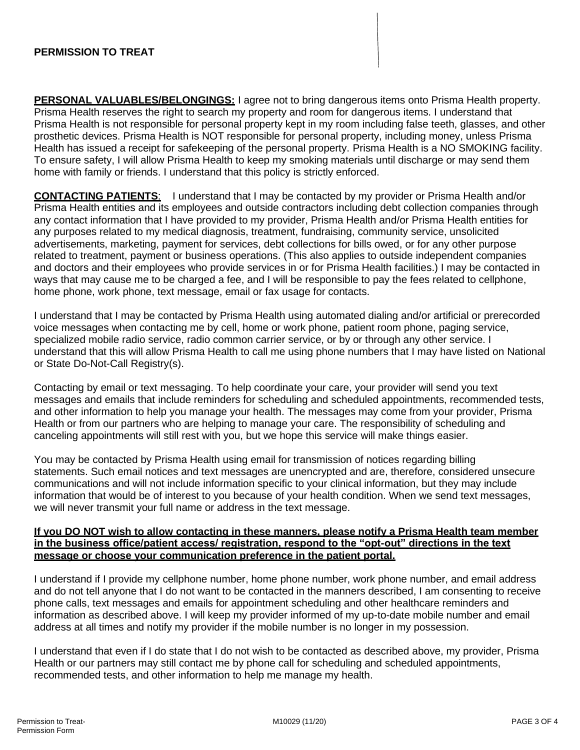#### **PERMISSION TO TREAT**

**PERSONAL VALUABLES/BELONGINGS:** I agree not to bring dangerous items onto Prisma Health property. Prisma Health reserves the right to search my property and room for dangerous items. I understand that Prisma Health is not responsible for personal property kept in my room including false teeth, glasses, and other prosthetic devices. Prisma Health is NOT responsible for personal property, including money, unless Prisma Health has issued a receipt for safekeeping of the personal property. Prisma Health is a NO SMOKING facility. To ensure safety, I will allow Prisma Health to keep my smoking materials until discharge or may send them home with family or friends. I understand that this policy is strictly enforced.

**CONTACTING PATIENTS**: I understand that I may be contacted by my provider or Prisma Health and/or Prisma Health entities and its employees and outside contractors including debt collection companies through any contact information that I have provided to my provider, Prisma Health and/or Prisma Health entities for any purposes related to my medical diagnosis, treatment, fundraising, community service, unsolicited advertisements, marketing, payment for services, debt collections for bills owed, or for any other purpose related to treatment, payment or business operations. (This also applies to outside independent companies and doctors and their employees who provide services in or for Prisma Health facilities.) I may be contacted in ways that may cause me to be charged a fee, and I will be responsible to pay the fees related to cellphone, home phone, work phone, text message, email or fax usage for contacts.

I understand that I may be contacted by Prisma Health using automated dialing and/or artificial or prerecorded voice messages when contacting me by cell, home or work phone, patient room phone, paging service, specialized mobile radio service, radio common carrier service, or by or through any other service. I understand that this will allow Prisma Health to call me using phone numbers that I may have listed on National or State Do-Not-Call Registry(s).

Contacting by email or text messaging. To help coordinate your care, your provider will send you text messages and emails that include reminders for scheduling and scheduled appointments, recommended tests, and other information to help you manage your health. The messages may come from your provider, Prisma Health or from our partners who are helping to manage your care. The responsibility of scheduling and canceling appointments will still rest with you, but we hope this service will make things easier.

You may be contacted by Prisma Health using email for transmission of notices regarding billing statements. Such email notices and text messages are unencrypted and are, therefore, considered unsecure communications and will not include information specific to your clinical information, but they may include information that would be of interest to you because of your health condition. When we send text messages, we will never transmit your full name or address in the text message.

#### **If you DO NOT wish to allow contacting in these manners, please notify a Prisma Health team member in the business office/patient access/ registration, respond to the "opt-out" directions in the text message or choose your communication preference in the patient portal.**

I understand if I provide my cellphone number, home phone number, work phone number, and email address and do not tell anyone that I do not want to be contacted in the manners described, I am consenting to receive phone calls, text messages and emails for appointment scheduling and other healthcare reminders and information as described above. I will keep my provider informed of my up-to-date mobile number and email address at all times and notify my provider if the mobile number is no longer in my possession.

I understand that even if I do state that I do not wish to be contacted as described above, my provider, Prisma Health or our partners may still contact me by phone call for scheduling and scheduled appointments, recommended tests, and other information to help me manage my health.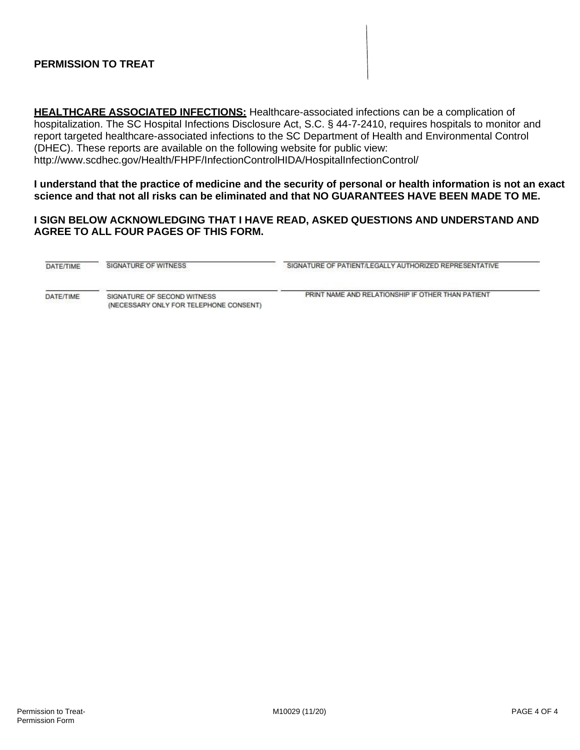#### **PERMISSION TO TREAT**

**HEALTHCARE ASSOCIATED INFECTIONS:** Healthcare-associated infections can be a complication of hospitalization. The SC Hospital Infections Disclosure Act, S.C. § 44-7-2410, requires hospitals to monitor and report targeted healthcare-associated infections to the SC Department of Health and Environmental Control (DHEC). These reports are available on the following website for public view: <http://www.scdhec.gov/Health/FHPF/InfectionControlHIDA/HospitalInfectionControl/>

**I understand that the practice of medicine and the security of personal or health information is not an exact science and that not all risks can be eliminated and that NO GUARANTEES HAVE BEEN MADE TO ME.**

#### **I SIGN BELOW ACKNOWLEDGING THAT I HAVE READ, ASKED QUESTIONS AND UNDERSTAND AND AGREE TO ALL FOUR PAGES OF THIS FORM.**

| DATE/TIME | SIGNATURE OF WITNESS                                                  | SIGNATURE OF PATIENT/LEGALLY AUTHORIZED REPRESENTATIVE |
|-----------|-----------------------------------------------------------------------|--------------------------------------------------------|
| DATE/TIME | SIGNATURE OF SECOND WITNESS<br>(NECESSARY ONLY FOR TELEPHONE CONSENT) | PRINT NAME AND RELATIONSHIP IF OTHER THAN PATIENT      |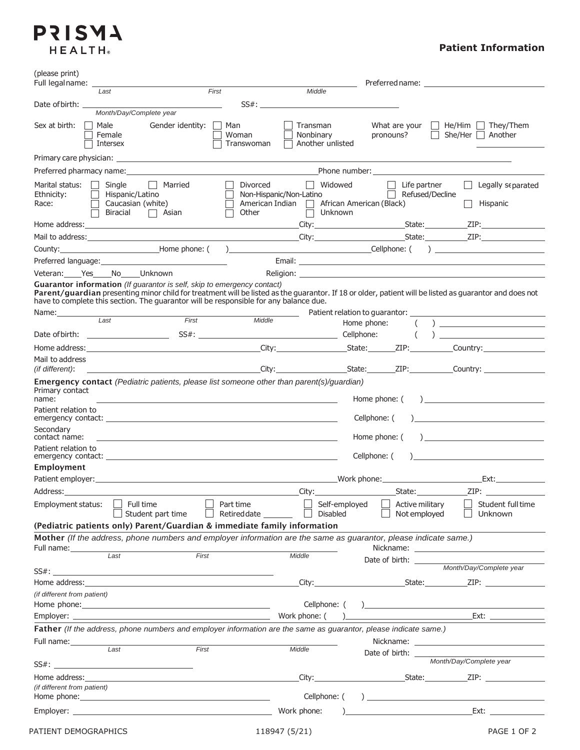### **PRISMA** HEALTH®

#### **Patient Information**

| (please print)<br>Full legalname:                                                                                                                                                                                                                    |                                                                                                                                                                                                                                                                                                                                                   |
|------------------------------------------------------------------------------------------------------------------------------------------------------------------------------------------------------------------------------------------------------|---------------------------------------------------------------------------------------------------------------------------------------------------------------------------------------------------------------------------------------------------------------------------------------------------------------------------------------------------|
| Last                                                                                                                                                                                                                                                 | First<br>Middle                                                                                                                                                                                                                                                                                                                                   |
| Date of birth:                                                                                                                                                                                                                                       |                                                                                                                                                                                                                                                                                                                                                   |
| Month/Day/Complete year                                                                                                                                                                                                                              |                                                                                                                                                                                                                                                                                                                                                   |
| Sex at birth:<br>Male<br>Gender identity:<br>Female<br>Intersex                                                                                                                                                                                      | Man<br>Transman<br>What are your<br>$\Box$ He/Him $\Box$ They/Them<br>$\vert \ \ \vert$<br>pronouns?<br>She/Her $\Box$ Another<br>Woman<br>Nonbinary<br>$\perp$<br>Another unlisted<br>Transwoman                                                                                                                                                 |
| Primary care physician: example and a series of the series of the series of the series of the series of the series of the series of the series of the series of the series of the series of the series of the series of the se                       |                                                                                                                                                                                                                                                                                                                                                   |
| Preferred pharmacy name: Notified a state of the state of the state of the state of the state of the state of the state of the state of the state of the state of the state of the state of the state of the state of the stat                       |                                                                                                                                                                                                                                                                                                                                                   |
| Marital status:<br>Single<br>    Married<br>Ethnicity:<br>Hispanic/Latino<br>Caucasian (white)<br>Race:<br>Biracial<br>□ Asian                                                                                                                       | Widowed<br>Divorced<br>Life partner<br>Legally separated<br>$\Box$<br>Refused/Decline<br>Non-Hispanic/Non-Latino<br>African American (Black)<br>American Indian<br>Hispanic<br>Other<br><b>Unknown</b>                                                                                                                                            |
|                                                                                                                                                                                                                                                      |                                                                                                                                                                                                                                                                                                                                                   |
|                                                                                                                                                                                                                                                      |                                                                                                                                                                                                                                                                                                                                                   |
|                                                                                                                                                                                                                                                      |                                                                                                                                                                                                                                                                                                                                                   |
|                                                                                                                                                                                                                                                      |                                                                                                                                                                                                                                                                                                                                                   |
| Veteran: Yes No Unknown                                                                                                                                                                                                                              |                                                                                                                                                                                                                                                                                                                                                   |
| Guarantor information (If guarantor is self, skip to emergency contact)<br>have to complete this section. The guarantor will be responsible for any balance due.                                                                                     | Parent/guardian presenting minor child for treatment will be listed as the guarantor. If 18 or older, patient will be listed as guarantor and does not                                                                                                                                                                                            |
| First<br>$1$ ast                                                                                                                                                                                                                                     | Middle                                                                                                                                                                                                                                                                                                                                            |
|                                                                                                                                                                                                                                                      | $\left(\begin{array}{c} \end{array}\right)$                                                                                                                                                                                                                                                                                                       |
|                                                                                                                                                                                                                                                      |                                                                                                                                                                                                                                                                                                                                                   |
|                                                                                                                                                                                                                                                      |                                                                                                                                                                                                                                                                                                                                                   |
| Mail to address<br><i>(if different)</i> :                                                                                                                                                                                                           |                                                                                                                                                                                                                                                                                                                                                   |
| name:<br>Patient relation to<br>Secondary<br>contact name:                                                                                                                                                                                           | <u> 1989 - Johann Stoff, deutscher Stoffen und der Stoffen und der Stoffen und der Stoffen und der Stoffen und der</u><br><u> 1989 - Johann Stoff, fransk politik (</u><br>Cellphone: (<br>Home phone: (<br>$\frac{1}{2}$                                                                                                                         |
| Patient relation to<br>emergency contact: example and a series of the series of the series of the series of the series of the series of the series of the series of the series of the series of the series of the series of the series of the series | Cellphone: (                                                                                                                                                                                                                                                                                                                                      |
| Employment                                                                                                                                                                                                                                           |                                                                                                                                                                                                                                                                                                                                                   |
|                                                                                                                                                                                                                                                      | Ext:                                                                                                                                                                                                                                                                                                                                              |
| Address:_________                                                                                                                                                                                                                                    | City:                                                                                                                                                                                                                                                                                                                                             |
| $\Box$ Full time<br>Employment status:<br>$\Box$ Student part time                                                                                                                                                                                   | Part time<br>Self-employed<br>$\mathsf{L}$<br>Active military<br>Student full time<br>$\vert \ \ \vert$<br>Retired date $\Box$<br>Disabled<br>Not employed<br>Unknown                                                                                                                                                                             |
| (Pediatric patients only) Parent/Guardian & immediate family information                                                                                                                                                                             | Mother (If the address, phone numbers and employer information are the same as guarantor, please indicate same.)                                                                                                                                                                                                                                  |
|                                                                                                                                                                                                                                                      |                                                                                                                                                                                                                                                                                                                                                   |
| Full name: Last<br>First                                                                                                                                                                                                                             | Middle<br>Date of birth: _______                                                                                                                                                                                                                                                                                                                  |
|                                                                                                                                                                                                                                                      | Month/Day/Complete year                                                                                                                                                                                                                                                                                                                           |
|                                                                                                                                                                                                                                                      |                                                                                                                                                                                                                                                                                                                                                   |
| (if different from patient)                                                                                                                                                                                                                          |                                                                                                                                                                                                                                                                                                                                                   |
| Home phone: <u>contract and contract and contract and contract and contract and contract and contract of the set</u>                                                                                                                                 | Cellphone: (                                                                                                                                                                                                                                                                                                                                      |
|                                                                                                                                                                                                                                                      |                                                                                                                                                                                                                                                                                                                                                   |
| Full name: ________________                                                                                                                                                                                                                          | Father (If the address, phone numbers and employer information are the same as guarantor, please indicate same.)                                                                                                                                                                                                                                  |
| Last                                                                                                                                                                                                                                                 | First<br>Middle                                                                                                                                                                                                                                                                                                                                   |
|                                                                                                                                                                                                                                                      | Date of birth: Month/Day/Complete year                                                                                                                                                                                                                                                                                                            |
|                                                                                                                                                                                                                                                      | City: City: City: City: City: City: City: City: City: City: City: City: City: City: City: City: City: City: City: City: City: City: City: City: City: City: City: City: City: City: City: City: City: City: City: City: City:                                                                                                                     |
| (if different from patient)                                                                                                                                                                                                                          |                                                                                                                                                                                                                                                                                                                                                   |
|                                                                                                                                                                                                                                                      | Cellphone: (                                                                                                                                                                                                                                                                                                                                      |
|                                                                                                                                                                                                                                                      | Work phone:<br>$\overline{z}$ and $\overline{z}$ and $\overline{z}$ and $\overline{z}$ and $\overline{z}$ and $\overline{z}$ and $\overline{z}$ and $\overline{z}$ and $\overline{z}$ and $\overline{z}$ and $\overline{z}$ and $\overline{z}$ and $\overline{z}$ and $\overline{z}$ and $\overline{z}$ and $\overline{z}$ and $\overline{z}$ and |
| PATIENT DEMOGRAPHICS                                                                                                                                                                                                                                 | PAGE 1 OF 2<br>118947 (5/21)                                                                                                                                                                                                                                                                                                                      |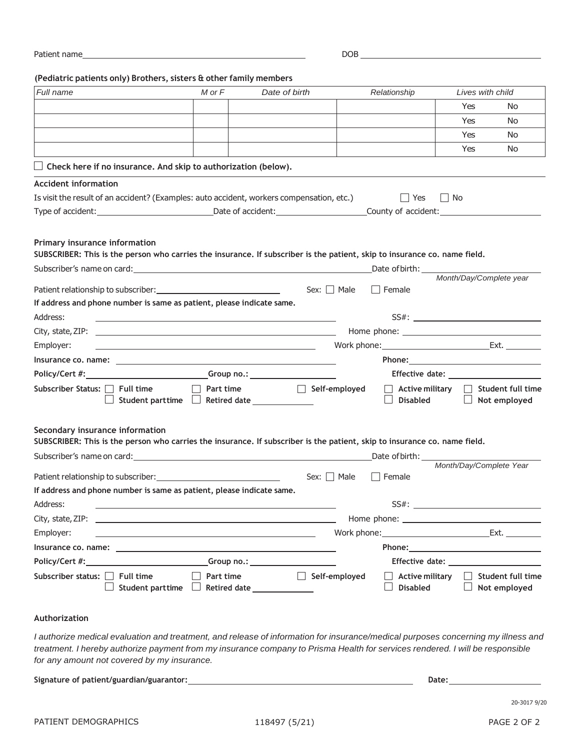| Patient name | DOB |
|--------------|-----|
|              |     |

**(Pediatric patients only) Brothers, sisters & other family members**

| Full name                                                                                                                                                                                                                                                                                                                              | M or F    | Date of birth                                                |                  | Relationship                                      | Lives with child        |                                   |
|----------------------------------------------------------------------------------------------------------------------------------------------------------------------------------------------------------------------------------------------------------------------------------------------------------------------------------------|-----------|--------------------------------------------------------------|------------------|---------------------------------------------------|-------------------------|-----------------------------------|
|                                                                                                                                                                                                                                                                                                                                        |           |                                                              |                  |                                                   | Yes                     | No                                |
|                                                                                                                                                                                                                                                                                                                                        |           |                                                              |                  |                                                   | Yes                     | No.                               |
|                                                                                                                                                                                                                                                                                                                                        |           |                                                              |                  |                                                   | <b>Yes</b>              | No.                               |
|                                                                                                                                                                                                                                                                                                                                        |           |                                                              |                  |                                                   | Yes                     | No.                               |
| $\Box$ Check here if no insurance. And skip to authorization (below).                                                                                                                                                                                                                                                                  |           |                                                              |                  |                                                   |                         |                                   |
| <b>Accident information</b>                                                                                                                                                                                                                                                                                                            |           |                                                              |                  |                                                   |                         |                                   |
| Is visit the result of an accident? (Examples: auto accident, workers compensation, etc.)                                                                                                                                                                                                                                              |           |                                                              |                  | $ $ Yes<br>$\Box$ No                              |                         |                                   |
|                                                                                                                                                                                                                                                                                                                                        |           |                                                              |                  |                                                   |                         |                                   |
| SUBSCRIBER: This is the person who carries the insurance. If subscriber is the patient, skip to insurance co. name field.<br>If address and phone number is same as patient, please indicate same.<br>Address:<br><u> 1989 - Johann Barbara, marka a shekara tsa 1989 - An tsa 1989 - An tsa 1989 - An tsa 1989 - An tsa 1989 - An</u> |           |                                                              | Sex: $\Box$ Male | Date of birth:<br>$\Box$ Female                   | Month/Day/Complete year |                                   |
| Employer:                                                                                                                                                                                                                                                                                                                              |           |                                                              |                  | Work phone: Ext.                                  |                         |                                   |
| <u> 1989 - Andrea Barbara, amerikana amerikana amerikana amerikana amerikana amerikana amerikana amerikana amerika</u>                                                                                                                                                                                                                 |           |                                                              |                  |                                                   |                         |                                   |
| Policy/Cert #: _______________________________Group no.: _______________________                                                                                                                                                                                                                                                       |           |                                                              |                  |                                                   |                         |                                   |
| Subscriber Status: □ Full time                                                                                                                                                                                                                                                                                                         | Part time | self-employed<br>Student parttime $\Box$ Retired date $\Box$ |                  | $\vert\;\vert$ Active military<br><b>Disabled</b> | $\Box$                  | Student full time<br>Not employed |
| Secondary insurance information<br>SUBSCRIBER: This is the person who carries the insurance. If subscriber is the patient, skip to insurance co. name field.                                                                                                                                                                           |           |                                                              |                  |                                                   |                         |                                   |
|                                                                                                                                                                                                                                                                                                                                        |           |                                                              |                  |                                                   | Month/Day/Complete Year |                                   |
|                                                                                                                                                                                                                                                                                                                                        |           | Sex: $\Box$ Male                                             |                  | Female                                            |                         |                                   |
| If address and phone number is same as patient, please indicate same.                                                                                                                                                                                                                                                                  |           |                                                              |                  |                                                   |                         |                                   |
| Address:                                                                                                                                                                                                                                                                                                                               |           |                                                              |                  | $SS#$ :                                           |                         |                                   |
| City, state, ZIP: $\qquad \qquad$                                                                                                                                                                                                                                                                                                      |           |                                                              |                  |                                                   |                         |                                   |
| Employer:<br>the control of the control of the control of the control of the control of the control of the control of the control of the control of the control of the control of the control of the control of the control of the control                                                                                             |           |                                                              |                  | Work phone: Ext.                                  |                         |                                   |
| Insurance co. name: compared a series of the series of the series of the series of the series of the series of                                                                                                                                                                                                                         |           |                                                              |                  |                                                   |                         |                                   |
|                                                                                                                                                                                                                                                                                                                                        |           |                                                              |                  |                                                   |                         |                                   |
| Subscriber status: $\Box$<br><b>Full time</b><br>Student parttime                                                                                                                                                                                                                                                                      | Part time | Retired date _______________                                 | Self-employed    | <b>Active military</b><br><b>Disabled</b>         |                         | Student full time<br>Not employed |

#### **Authorization**

I authorize medical evaluation and treatment, and release of information for insurance/medical purposes concerning my illness and treatment. I hereby authorize payment from my insurance company to Prisma Health for services rendered. I will be responsible *for any amount not covered by my insurance.*

**Signature of patient/guardian/guarantor: Date:**

20-3017 9/20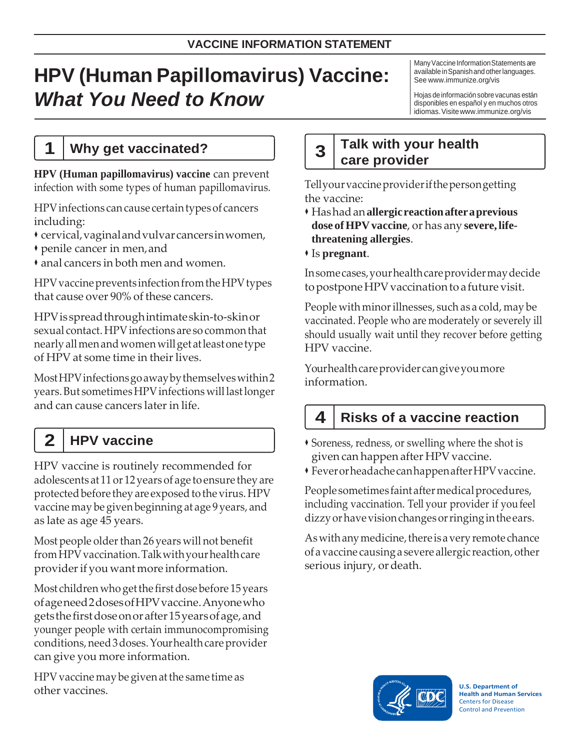# **HPV (Human Papillomavirus) Vaccine:** *What You Need to Know*

Many Vaccine Information Statements are available in Spanish and other languages. See [www.immunize.org/vis](http://www.immunize.org/vis)

Hojas deinformaciónsobre vacunas están disponibles en español y en muchos otros idiomas.Visit[ewww.immunize.org/vis](http://www.immunize.org/vis)

### **1 Why get vaccinated?**

**HPV (Human papillomavirus) vaccine** can prevent infection with some types of human papillomavirus.

HPVinfections cancause certaintypesof cancers including:

- cervical,vaginalandvulvarcancersinwomen,
- penile cancer in men,and

anal cancers in both men and women.

HPV vaccine prevents infection from the HPV types that cause over 90% of these cancers.

HPVisspreadthroughintimateskin-to-skinor sexual contact. HPV infections are so common that nearlyallmenandwomenwillget atleastone type of HPV at some time in their lives.

MostHPVinfectionsgoawaybythemselveswithin2 years. But sometimes HPV infections will last longer and can cause cancers later in life.

# **2 HPV vaccine**

HPV vaccine is routinely recommended for adolescents at 11 or 12 years of age to ensure they are protected before they are exposed to the virus. HPV vaccine may be given beginning at age 9 years, and as late as age 45 years.

Most people older than 26 years will not benefit from HPV vaccination. Talk with your health care providerif you want more information.

Most children who get the first dose before 15 years ofageneed2dosesofHPVvaccine.Anyonewho getsthefirstdoseonorafter15yearsofage,and younger people with certain immunocompromising conditions, need 3 doses. Your health care provider can give you more information.

HPV vaccine may be given at the same time as other vaccines.

### **Talk with your health care provider 3**

Tellyourvaccineproviderifthepersongetting the vaccine:

- Hashadan**allergicreactionafteraprevious dose ofHPVvaccine**, or has any **severe, lifethreatening allergies**.
- Is **pregnant**.

Insomecases,yourhealthcareprovidermaydecide to postpone HPV vaccination to a future visit.

People with minor illnesses, such as a cold, may be vaccinated. People who are moderately or severely ill should usually wait until they recover before getting HPV vaccine.

Yourhealthcareprovider cangiveyoumore information.

# **4 Risks of a vaccine reaction**

 Soreness, redness, or swelling where the shot is given can happen after HPV vaccine.

FeverorheadachecanhappenafterHPVvaccine.

People sometimes faint after medical procedures, including vaccination. Tell your provider if youfeel dizzyorhavevisionchangesorringinginthe ears.

As with any medicine, there is a very remote chance ofa vaccine causinga severe allergic reaction,other serious injury, or death.



**U.S. Department of Health and Human Services** Centers for Disease Control and Prevention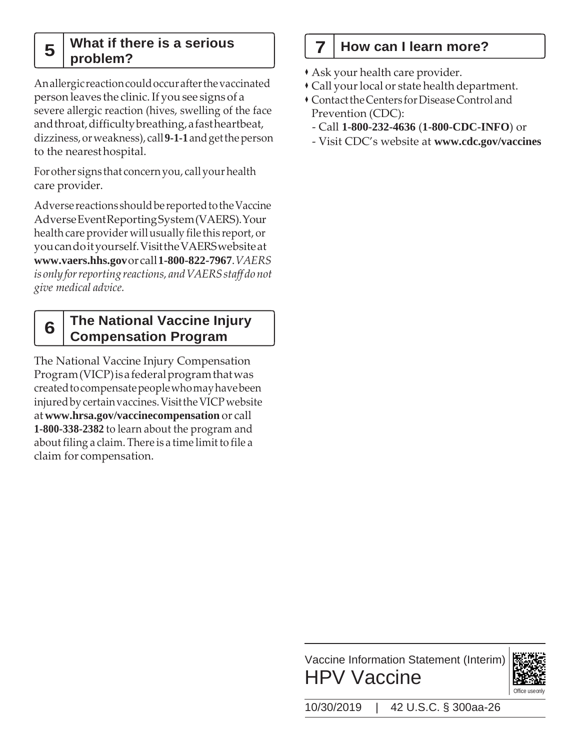#### **What if there is a serious**   $\mathbf{5} \mid \text{problem?}$

Anallergicreactioncouldoccurafterthevaccinated person leaves the clinic.If yousee signs of a severe allergic reaction (hives, swelling of the face and throat, difficulty breathing, a fast heartbeat, dizziness,orweakness), call**9-1-1**andgettheperson to the nearesthospital.

Forother signs that concernyou, callyourhealth care provider.

Adverse reactions should be reported to the Vaccine AdverseEventReportingSystem(VAERS).Your health care provider will usually file this report, or youcandoityourself.VisittheVAERSwebsiteat **[www.vaers.hhs.gov](http://www.vaers.hhs.gov/)**orcall**1-800-822-7967**.*VAERS is onlyforreporting reactions, andVAERSstaff donot give medical advice.*

#### **The National Vaccine Injury Compensation Program 6**

The National Vaccine Injury Compensation Program(VICP)isafederalprogramthatwas createdtocompensatepeoplewhomayhavebeen injured by certain vaccines. Visit the VICP website at**[www.hrsa.gov/vaccinecompensation](http://www.hrsa.gov/vaccinecompensation)** or call **1-800-338-2382** to learn about the program and about filing a claim. There is a time limit to file a claim for compensation.

### **7 How can I learn more?**

- Ask your health care provider.
- Call yourlocal or state health department.
- **Contact the Centers for Disease Control and** Prevention (CDC):
- Call **1-800-232-4636** (**1-800-CDC-INFO**) or
- Visit CDC's website at **[www.cdc.gov/vaccines](https://www.cdc.gov/vaccines)**

Vaccine Information Statement (Interim) HPV Vaccine



10/30/2019 | 42 U.S.C. § 300aa-26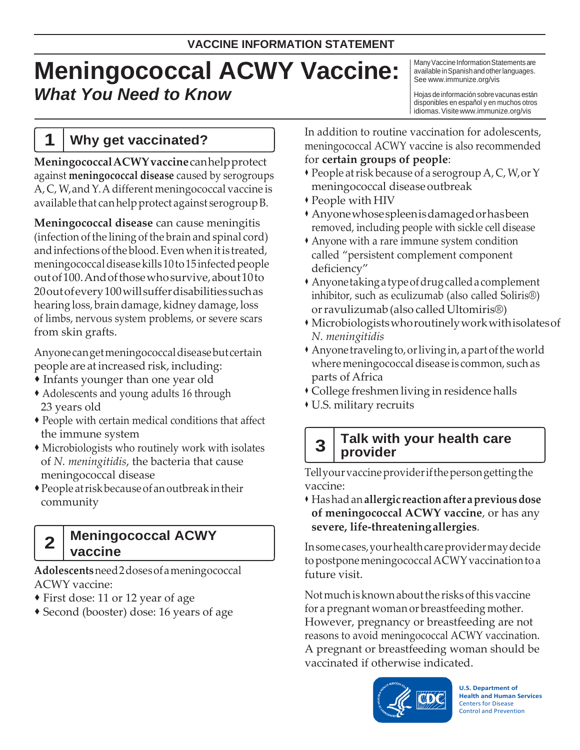# **Meningococcal ACWY Vaccine:** *What You Need to Know*

Many Vaccine Information Statements are available in Spanish and other languages. See [www.immunize.org/vis](http://www.immunize.org/vis)

Hojas de información sobre vacunas están disponibles en español y en muchos otros idiomas.Visit[ewww.immunize.org/vis](http://www.immunize.org/vis)

### **1 Why get vaccinated?**

**MeningococcalACWYvaccine**canhelpprotect against **meningococcal disease** caused by serogroups A, C, W, and Y. A different meningococcal vaccine is available that canhelpprotect against serogroupB.

**Meningococcal disease** can cause meningitis (infection of the lining of the brain and spinal cord) and infections of the blood. Even when it is treated, meningococcal disease kills 10 to 15 infected people outof100.Andofthosewhosurvive,about10to 20outofevery100willsufferdisabilitiessuchas hearing loss, brain damage, kidney damage, loss of limbs, nervous system problems, or severe scars from skin grafts.

Anyonecangetmeningococcaldiseasebutcertain people are atincreased risk, including:

- Infants younger than one year old
- Adolescents and young adults 16 through 23 years old
- People with certain medical conditions that affect the immune system
- Microbiologists who routinely work with isolates of *N. meningitidis*, the bacteria that cause meningococcal disease
- People atriskbecauseofanoutbreak intheir community

#### **Meningococcal ACWY**  2 | weilings

**Adolescents**need2dosesofameningococcal ACWY vaccine:

- First dose: 11 or 12 year of age
- Second (booster) dose: 16 years of age

In addition to routine vaccination for adolescents, meningococcal ACWY vaccine is also recommended for **certain groups of people**:

- People atrisk because of a serogroup A, C, W,orY meningococcal diseaseoutbreak
- People with HIV
- Anyonewhosespleenisdamagedorhasbeen removed, including people with sickle cell disease
- Anyone with a rare immune system condition called "persistent complement component deficiency"
- Anyonetakingatypeofdrugcalledacomplement inhibitor, such as eculizumab (also called Soliris®) or ravulizumab (also called Ultomiris<sup>®</sup>)
- Microbiologistswhoroutinelyworkwithisolatesof *N. meningitidis*
- $\triangle$  Anyone traveling to, or living in, a part of the world where meningococcal disease is common, such as parts of Africa
- College freshmen living in residence halls
- U.S. military recruits

# **Talk with your health care 3 provider**

Tellyourvaccineproviderifthepersongettingthe vaccine:

 Hashadan**allergic reactionafter apreviousdose of meningococcal ACWY vaccine**, or has any **severe, life-threateningallergies**.

Insomecases,yourhealthcareprovidermaydecide to postpone meningococcal ACWY vaccination to a future visit.

Notmuchisknownaboutthe risks ofthisvaccine for a pregnant woman or breastfeeding mother. However, pregnancy or breastfeeding are not reasons to avoid meningococcal ACWY vaccination. A pregnant or breastfeeding woman should be vaccinated if otherwise indicated.



**U.S. Department of Health and Human Services** Centers for Disease Control and Prevention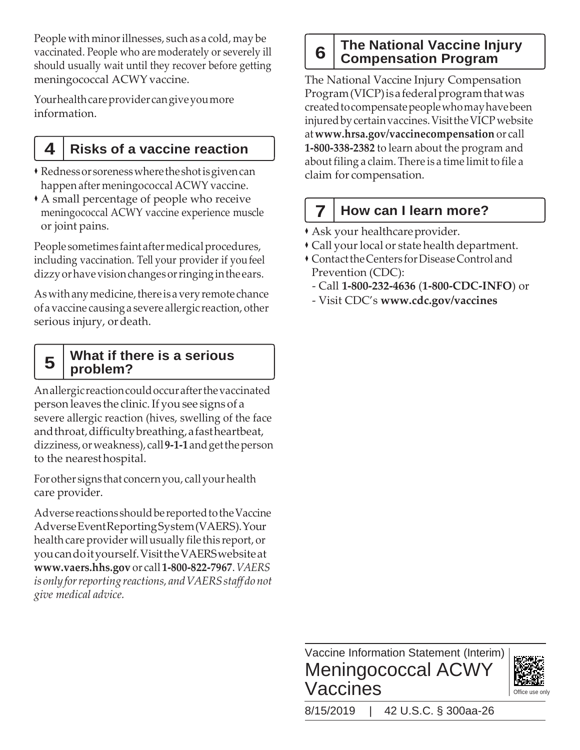People with minor illnesses, such as a cold, may be vaccinated. People who are moderately or severely ill should usually wait until they recover before getting meningococcal ACWY vaccine.

Yourhealthcareprovidercangiveyoumore information.

### **4 Risks of a vaccine reaction**

- Rednessor sorenesswheretheshotisgivencan happen after meningococcal ACWY vaccine.
- A small percentage of people who receive meningococcal ACWY vaccine experience muscle or joint pains.

People sometimes faint after medical procedures, including vaccination. Tell your provider if youfeel dizzyorhavevisionchangesorringinginthe ears.

As with any medicine, there is a very remote chance ofa vaccine causinga severe allergic reaction, other serious injury, or death.

# **What if there is a serious 5 problem?**

Anallergicreactioncouldoccurafterthevaccinated person leaves the clinic.If yousee signs of a severe allergic reaction (hives, swelling of the face andthroat,difficultybreathing,afastheartbeat, dizziness,orweakness), call**9-1-1**andgettheperson to the nearesthospital.

Forother signs that concernyou, callyourhealth care provider.

Adverse reactions should be reported to the Vaccine AdverseEventReportingSystem(VAERS).Your health care provider will usually file this report, or youcandoityourself.VisittheVAERSwebsiteat **[www.vaers.hhs.gov](http://www.vaers.hhs.gov/)** or call **1-800-822-7967**.*VAERS is onlyforreporting reactions, andVAERSstaff donot give medical advice.*

# **The National Vaccine Injury 6 Compensation Program**

The National Vaccine Injury Compensation Program(VICP)isafederalprogramthatwas createdtocompensatepeoplewhomayhavebeen injuredbycertainvaccines.VisittheVICPwebsite at**[www.hrsa.gov/vaccinecompensation](http://www.hrsa.gov/vaccinecompensation)** or call **1-800-338-2382** to learn about the program and about filing a claim. There is a time limit to file a claim for compensation.

# **7 How can I learn more?**

- Ask your healthcareprovider.
- Call your local or state health department.
- ContacttheCenters forDiseaseControl and Prevention (CDC):
- Call **1-800-232-4636** (**1-800-CDC-INFO**) or
- Visit CDC's **[www.cdc.gov/vaccines](http://www.cdc.gov/vaccines)**

### Vaccine Information Statement (Interim) Meningococcal ACWY Vaccines



8/15/2019 | 42 U.S.C. § 300aa-26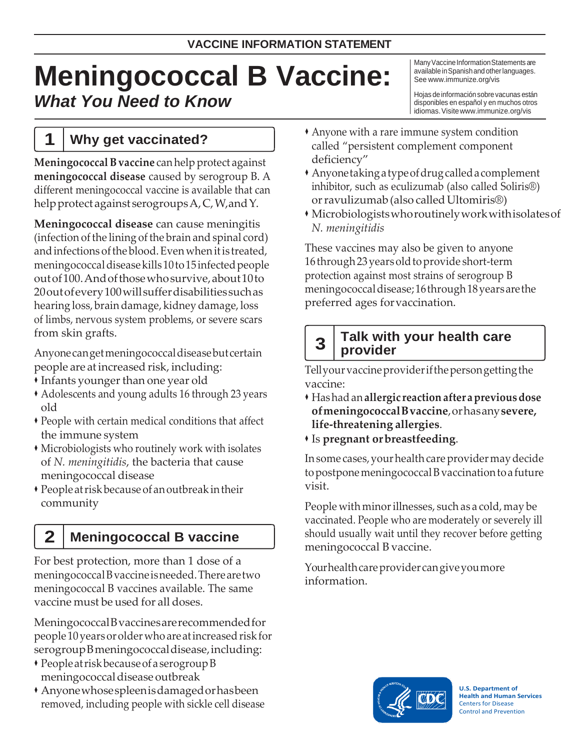# **Meningococcal B Vaccine:** *What You Need to Know*

**1 Why get vaccinated?**

**MeningococcalBvaccine** can help protect against **meningococcal disease** caused by serogroup B. A different meningococcal vaccine is available that can helpprotect against serogroupsA,C,W,andY.

**Meningococcal disease** can cause meningitis (infection of the lining of the brain and spinal cord) and infections of the blood. Even when it is treated, meningococcal disease kills 10 to 15 infected people outof100.Andofthosewhosurvive,about10to 20outofevery100willsufferdisabilitiessuchas hearing loss, brain damage, kidney damage, loss of limbs, nervous system problems, or severe scars from skin grafts.

Anyonecangetmeningococcaldiseasebutcertain people are atincreased risk, including:

- **Infants younger than one year old**
- Adolescents and young adults 16 through 23 years old
- People with certain medical conditions that affect the immune system
- Microbiologists who routinely work with isolates of *N. meningitidis*, the bacteria that cause meningococcal disease
- People atriskbecause of anoutbreakintheir community

# **2 Meningococcal B vaccine**

For best protection, more than 1 dose of a meningococcalBvaccineisneeded.Therearetwo meningococcal B vaccines available. The same vaccine must be used for all doses.

MeningococcalBvaccinesarerecommendedfor people 10years orolderwho areatincreasedriskfor serogroupBmeningococcal disease, including:

- Peopleatriskbecauseof aserogroupB meningococcaldisease outbreak
- Anyonewhosespleenisdamagedorhasbeen removed, including people with sickle cell disease

Many Vaccine Information Statements are available in Spanish and other languages. See [www.immunize.org/vis](http://www.immunize.org/vis)

Hojas deinformaciónsobre vacunas están disponibles en español y en muchos otros idiomas.Visit[ewww.immunize.org/vis](http://www.immunize.org/vis)

- Anyone with a rare immune system condition called "persistent complement component deficiency"
- Anyonetakingatypeofdrugcalledacomplement inhibitor, such as eculizumab (also called Soliris®) or ravulizumab (also called Ultomiris®)
- Microbiologistswhoroutinelyworkwithisolatesof *N. meningitidis*

These vaccines may also be given to anyone 16 through 23 years old to provide short-term protection against most strains of serogroup B meningococcaldisease;16through18yearsarethe preferred ages forvaccination.

# **Talk with your health care 3 provider**

Tellyourvaccineproviderifthepersongettingthe vaccine:

- Hashadan**allergic reactionafter apreviousdose ofmeningococcalBvaccine**,orhasany**severe, life-threatening allergies**.
- Is **pregnant orbreastfeeding**.

In some cases, your health care provider may decide topostponemeningococcalBvaccinationtoa future visit.

People with minor illnesses, such as a cold, may be vaccinated. People who are moderately or severely ill should usually wait until they recover before getting meningococcal B vaccine.

Yourhealthcareprovider cangiveyoumore information.



**U.S. Department of Health and Human Services** Centers for Disease Control and Prevention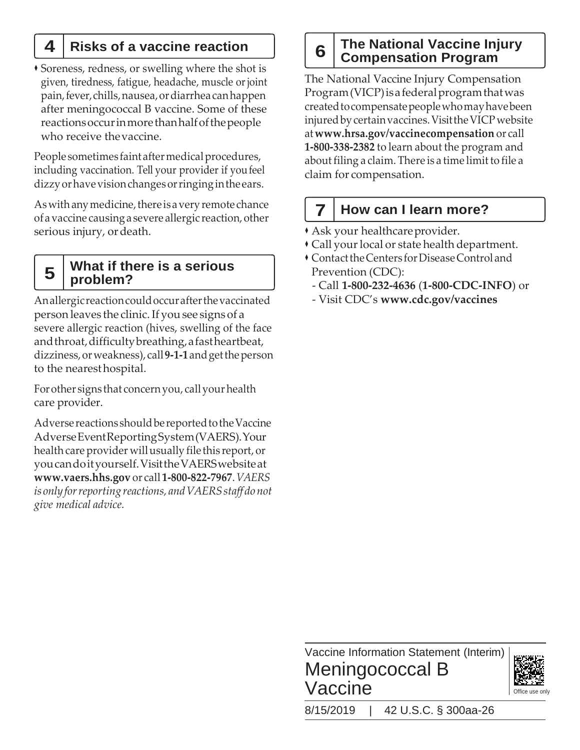Soreness, redness, or swelling where the shot is given, tiredness, fatigue, headache, muscle orjoint pain,fever,chills,nausea,ordiarrhea canhappen after meningococcal B vaccine. Some of these reactionsoccurinmorethanhalfofthepeople who receive thevaccine.

People sometimes faint after medical procedures, including vaccination. Tell your provider if youfeel dizzyorhavevisionchangesorringinginthe ears.

As with any medicine, there is a very remote chance ofa vaccine causinga severe allergic reaction,other serious injury, ordeath.

# **What if there is a serious 5 problem?**

Anallergicreactioncouldoccurafterthevaccinated person leaves the clinic.If yousee signs of a severe allergic reaction (hives, swelling of the face andthroat,difficultybreathing,afastheartbeat, dizziness,orweakness), call**9-1-1**andgettheperson to the nearesthospital.

For other signs that concern you, call your health care provider.

Adverse reactions should be reported to the Vaccine AdverseEventReportingSystem(VAERS).Your health care provider will usually file this report, or youcandoityourself.VisittheVAERSwebsiteat **[www.vaers.hhs.gov](http://www.vaers.hhs.gov/)** or call **1-800-822-7967**.*VAERS is onlyforreporting reactions, andVAERSstaff donot give medical advice.*

# **<sup>4</sup> Risks of a vaccine reaction The National Vaccine Injury <sup>6</sup> Compensation Program**

The National Vaccine Injury Compensation Program(VICP)isafederalprogramthatwas createdtocompensatepeoplewhomayhavebeen injuredbycertainvaccines.VisittheVICPwebsite at**[www.hrsa.gov/vaccinecompensation](http://www.hrsa.gov/vaccinecompensation)** or call **1-800-338-2382** to learn about the program and about filing a claim. There is a time limit to file a claim for compensation.

# **7 How can I learn more?**

- Ask your healthcareprovider.
- Call your local or state health department.
- **Contact the Centers for Disease Control and** Prevention (CDC):
	- Call **1-800-232-4636** (**1-800-CDC-INFO**) or
- Visit CDC's **[www.cdc.gov/vaccines](http://www.cdc.gov/vaccines)**

Vaccine Information Statement (Interim) Meningococcal B Vaccine



8/15/2019 | 42 U.S.C. § 300aa-26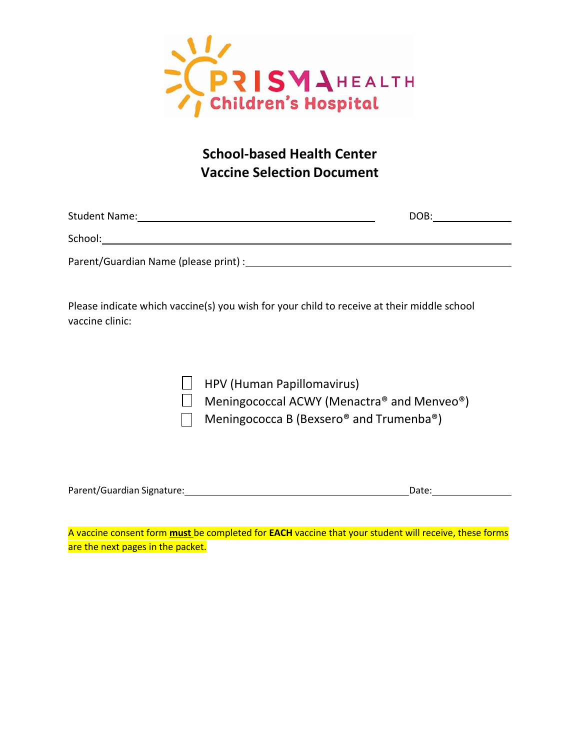

### **School-based Health Center Vaccine Selection Document**

| <b>Student Name:</b>                                                                                           | DOB: |
|----------------------------------------------------------------------------------------------------------------|------|
| School:                                                                                                        |      |
| Parent/Guardian Name (please print) : Manual Manual Manual Manual Manual Manual Manual Manual Manual Manual Ma |      |
|                                                                                                                |      |

Please indicate which vaccine(s) you wish for your child to receive at their middle school vaccine clinic:

| $\Box$ HPV (Human Papillomavirus)                                |
|------------------------------------------------------------------|
| $\Box$ Meningococcal ACWY (Menactra® and Menveo®)                |
| Meningococca B (Bexsero <sup>®</sup> and Trumenba <sup>®</sup> ) |

| Parent/Guardian Signature: | Date: |  |
|----------------------------|-------|--|
|----------------------------|-------|--|

A vaccine consent form **must** be completed for **EACH** vaccine that your student will receive, these forms are the next pages in the packet.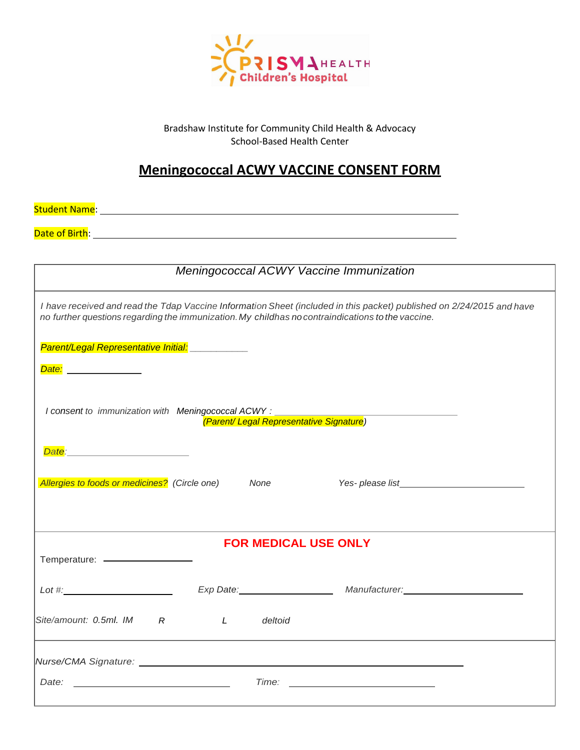

Bradshaw Institute for Community Child Health & Advocacy School-Based Health Center

### **Meningococcal ACWY VACCINE CONSENT FORM**

Student Name: <u>Name: Name of Alexander Alexander Alexander Alexander Alexander Alexander Alexander Alexander Alex</u>

Date of Birth:

|                                                                                                   | Meningococcal ACWY Vaccine Immunization |                                                                                                                       |  |
|---------------------------------------------------------------------------------------------------|-----------------------------------------|-----------------------------------------------------------------------------------------------------------------------|--|
| no further questions regarding the immunization. My childhas no contraindications to the vaccine. |                                         | I have received and read the Tdap Vaccine Information Sheet (included in this packet) published on 2/24/2015 and have |  |
| Parent/Legal Representative Initial: ___________<br>Date: ______________                          |                                         |                                                                                                                       |  |
| I consent to immunization with Meningococcal ACWY :                                               |                                         |                                                                                                                       |  |
|                                                                                                   |                                         |                                                                                                                       |  |
| Allergies to foods or medicines? (Circle one)                                                     | None                                    |                                                                                                                       |  |
|                                                                                                   |                                         |                                                                                                                       |  |
|                                                                                                   | <b>FOR MEDICAL USE ONLY</b>             |                                                                                                                       |  |
| Lot $\#$ :                                                                                        |                                         | Exp Date: Manufacturer: Manufacturer: Manufacturer:                                                                   |  |
| Site/amount: 0.5ml. IM R                                                                          | $\mathcal{L}$<br>deltoid                |                                                                                                                       |  |
|                                                                                                   |                                         |                                                                                                                       |  |
| Date:<br><u> 1989 - Johann Barbara, martin amerikan basar da</u>                                  | Time:                                   |                                                                                                                       |  |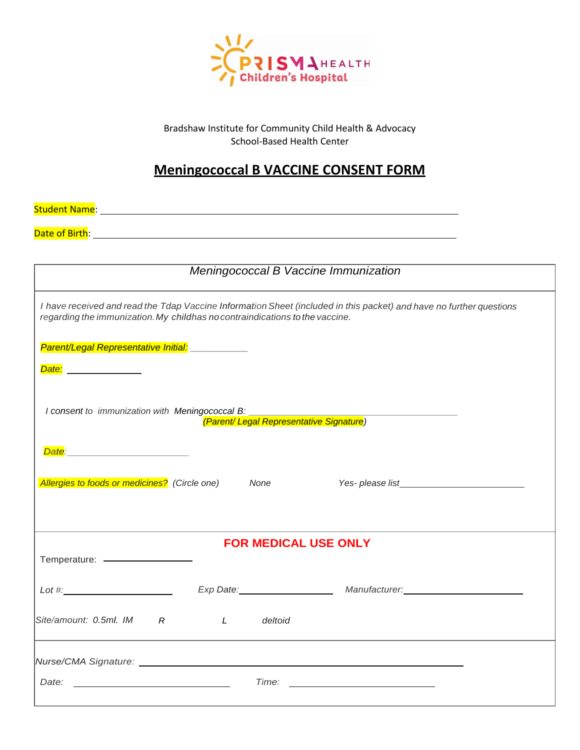

Bradshaw Institute for Community Child Health & Advocacy School-Based Health Center

### **Meningococcal B VACCINE CONSENT FORM**

Student Name: <u>contract and contract and contract and contract and contract and contract and contract and contract and contract and contract and contract and contract and contract and contract and contract and contract and</u>

Date of Birth:

|                                                                              | Meningococcal B Vaccine Immunization |                                                                                                                     |
|------------------------------------------------------------------------------|--------------------------------------|---------------------------------------------------------------------------------------------------------------------|
| regarding the immunization. My childhas no contraindications to the vaccine. |                                      | I have received and read the Tdap Vaccine Information Sheet (included in this packet) and have no further questions |
| Parent/Legal Representative Initial: ___________<br>Date: ______________     |                                      |                                                                                                                     |
| I consent to immunization with Meningococcal B:                              |                                      | yszczymuch<br><mark>(Parent/ Legal Representative Signature</mark> )                                                |
|                                                                              |                                      |                                                                                                                     |
| Allergies to foods or medicines? (Circle one)                                | None                                 |                                                                                                                     |
|                                                                              | <b>FOR MEDICAL USE ONLY</b>          |                                                                                                                     |
|                                                                              |                                      |                                                                                                                     |
| Lot $\#$ :                                                                   |                                      | Exp Date: Manufacturer: Manufacturer: Manufacturer:                                                                 |
| Site/amount: 0.5ml. IM R                                                     | $\mathcal{L}$<br>deltoid             |                                                                                                                     |
|                                                                              |                                      |                                                                                                                     |
| Date:<br><u> 1989 - Johann Barbara, martin amerikan basar da</u>             | Time:                                |                                                                                                                     |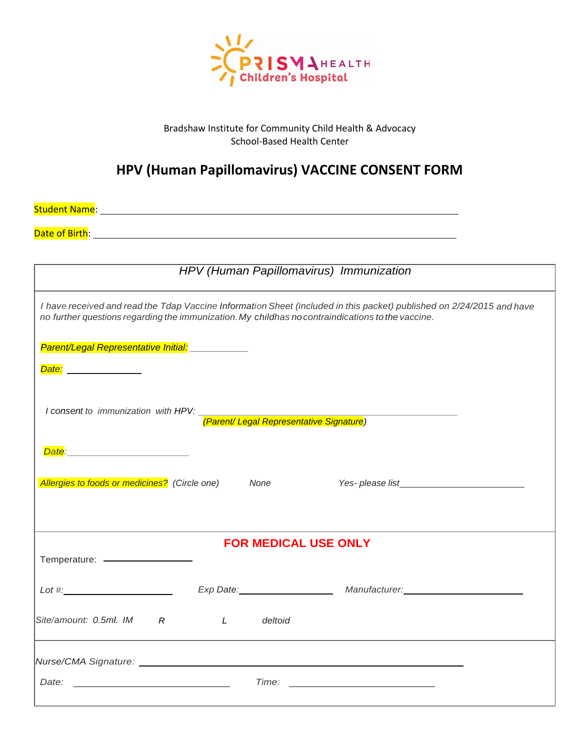

#### Bradshaw Institute for Community Child Health & Advocacy School-Based Health Center

### **HPV (Human Papillomavirus) VACCINE CONSENT FORM**

Student Name:

Date of Birth:

|                                                                                                                           | HPV (Human Papillomavirus) Immunization |                                                                                                                       |
|---------------------------------------------------------------------------------------------------------------------------|-----------------------------------------|-----------------------------------------------------------------------------------------------------------------------|
| no further questions regarding the immunization. My childhas no contraindications to the vaccine.                         |                                         | I have received and read the Tdap Vaccine Information Sheet (included in this packet) published on 2/24/2015 and have |
| Parent/Legal Representative Initial: ____________<br>Date: ______________                                                 |                                         |                                                                                                                       |
| I consent to immunization with HPV:<br>The entity Legal Representative Signature (Parent/ Legal Representative Signature) |                                         |                                                                                                                       |
| Allergies to foods or medicines? (Circle one)                                                                             | None                                    |                                                                                                                       |
|                                                                                                                           | <b>FOR MEDICAL USE ONLY</b>             |                                                                                                                       |
|                                                                                                                           |                                         | Lot #: Lot #: Lot #: Lot #: Lot #: Lot #: Lot #: Lot #: Lot #: Lot #: Lot #: Lot #: Lot #: Lot #: Lot #: Lot #        |
| Site/amount: 0.5ml. IM R                                                                                                  | deltoid<br>$\mathcal{L}$                |                                                                                                                       |
|                                                                                                                           |                                         |                                                                                                                       |
| Date:<br>the control of the control of the control of the control of the control of                                       | Time:                                   | <u> Alexandria de la contrada de la contrada de la contrada de la contrada de la contrada de la contrada de la c</u>  |